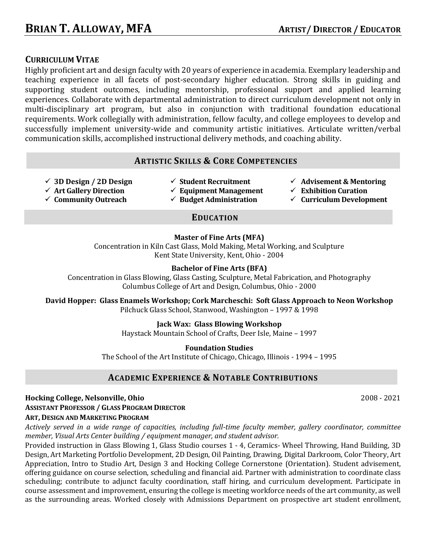# **CURRICULUM VITAE**

Highly proficient art and design faculty with 20 years of experience in academia. Exemplary leadership and teaching experience in all facets of post-secondary higher education. Strong skills in guiding and supporting student outcomes, including mentorship, professional support and applied learning experiences. Collaborate with departmental administration to direct curriculum development not only in multi-disciplinary art program, but also in conjunction with traditional foundation educational requirements. Work collegially with administration, fellow faculty, and college employees to develop and successfully implement university-wide and community artistic initiatives. Articulate written/verbal communication skills, accomplished instructional delivery methods, and coaching ability.

# **ARTISTIC SKILLS & CORE COMPETENCIES**

- ü **3D Design / 2D Design**
- ü **Student Recruitment**
- $\checkmark$  Advisement & Mentoring
- ü **Exhibition Curation**
	- ü **Curriculum Development**

# ü **Art Gallery Direction**

- ü **Community Outreach**
- $\checkmark$  Equipment Management
- ü **Budget Administration**

# **EDUCATION**

# **Master of Fine Arts (MFA)**

Concentration in Kiln Cast Glass, Mold Making, Metal Working, and Sculpture Kent State University, Kent, Ohio - 2004

# **Bachelor of Fine Arts (BFA)**

Concentration in Glass Blowing, Glass Casting, Sculpture, Metal Fabrication, and Photography Columbus College of Art and Design, Columbus, Ohio - 2000

David Hopper: Glass Enamels Workshop; Cork Marcheschi: Soft Glass Approach to Neon Workshop Pilchuck Glass School, Stanwood, Washington - 1997 & 1998

# **Jack Wax: Glass Blowing Workshop**

Haystack Mountain School of Crafts, Deer Isle, Maine - 1997

**Foundation Studies**

The School of the Art Institute of Chicago, Chicago, Illinois - 1994 - 1995

# **ACADEMIC EXPERIENCE & NOTABLE CONTRIBUTIONS**

# **Hocking College, Nelsonville, Ohio** 2008 - 2021 **ASSISTANT PROFESSOR / GLASS PROGRAM DIRECTOR ART, DESIGN AND MARKETING PROGRAM**

*Actively served in a wide range of capacities, including full-time faculty member, gallery coordinator, committee member, Visual Arts Center building / equipment manager, and student advisor.* 

Provided instruction in Glass Blowing 1, Glass Studio courses 1 - 4, Ceramics- Wheel Throwing, Hand Building, 3D Design, Art Marketing Portfolio Development, 2D Design, Oil Painting, Drawing, Digital Darkroom, Color Theory, Art Appreciation, Intro to Studio Art, Design 3 and Hocking College Cornerstone (Orientation). Student advisement, offering guidance on course selection, scheduling and financial aid. Partner with administration to coordinate class scheduling; contribute to adjunct faculty coordination, staff hiring, and curriculum development. Participate in course assessment and improvement, ensuring the college is meeting workforce needs of the art community, as well as the surrounding areas. Worked closely with Admissions Department on prospective art student enrollment,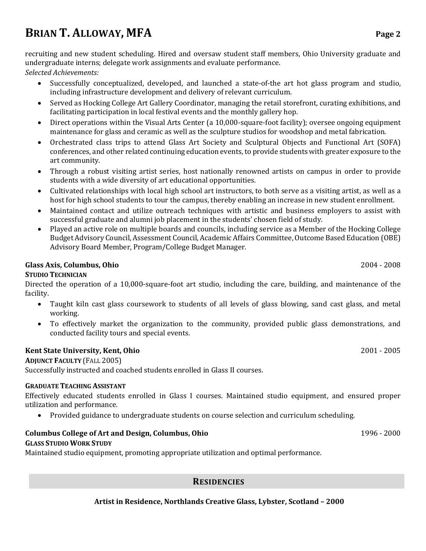# **BRIAN T. ALLOWAY, MFA** Page 2

recruiting and new student scheduling. Hired and oversaw student staff members, Ohio University graduate and undergraduate interns; delegate work assignments and evaluate performance.

*Selected Achievements:*

- Successfully conceptualized, developed, and launched a state-of-the art hot glass program and studio, including infrastructure development and delivery of relevant curriculum.
- Served as Hocking College Art Gallery Coordinator, managing the retail storefront, curating exhibitions, and facilitating participation in local festival events and the monthly gallery hop.
- Direct operations within the Visual Arts Center (a 10,000-square-foot facility); oversee ongoing equipment maintenance for glass and ceramic as well as the sculpture studios for woodshop and metal fabrication.
- Orchestrated class trips to attend Glass Art Society and Sculptural Objects and Functional Art (SOFA) conferences, and other related continuing education events, to provide students with greater exposure to the art community.
- Through a robust visiting artist series, host nationally renowned artists on campus in order to provide students with a wide diversity of art educational opportunities.
- Cultivated relationships with local high school art instructors, to both serve as a visiting artist, as well as a host for high school students to tour the campus, thereby enabling an increase in new student enrollment.
- Maintained contact and utilize outreach techniques with artistic and business employers to assist with successful graduate and alumni job placement in the students' chosen field of study.
- Played an active role on multiple boards and councils, including service as a Member of the Hocking College Budget Advisory Council, Assessment Council, Academic Affairs Committee, Outcome Based Education (OBE) Advisory Board Member, Program/College Budget Manager.

## **Glass Axis, Columbus, Ohio** 2004 **2008**

## **STUDIO TECHNICIAN**

Directed the operation of a 10,000-square-foot art studio, including the care, building, and maintenance of the facility.

- Taught kiln cast glass coursework to students of all levels of glass blowing, sand cast glass, and metal working.
- To effectively market the organization to the community, provided public glass demonstrations, and conducted facility tours and special events.

## **Kent State University, Kent, Ohio** 2001 **2005**

**ADJUNCT FACULTY (FALL 2005)** Successfully instructed and coached students enrolled in Glass II courses.

#### **GRADUATE TEACHING ASSISTANT**

Effectively educated students enrolled in Glass I courses. Maintained studio equipment, and ensured proper utilization and performance.

• Provided guidance to undergraduate students on course selection and curriculum scheduling.

#### **Columbus College of Art and Design, Columbus, Ohio** 1996 - 2000 **GLASS STUDIO WORK STUDY**

Maintained studio equipment, promoting appropriate utilization and optimal performance.

## **RESIDENCIES**

Artist in Residence, Northlands Creative Glass, Lybster, Scotland - 2000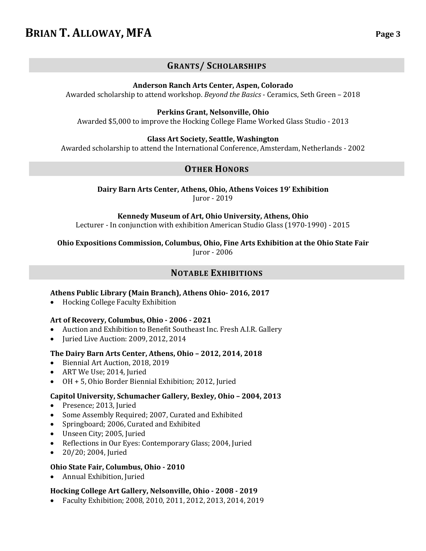# **BRIAN T. ALLOWAY, MFA** Page 3

# **GRANTS/ SCHOLARSHIPS**

**Anderson Ranch Arts Center, Aspen, Colorado**

Awarded scholarship to attend workshop. *Beyond the Basics* - Ceramics, Seth Green - 2018

## **Perkins Grant, Nelsonville, Ohio**

Awarded \$5,000 to improve the Hocking College Flame Worked Glass Studio - 2013

## **Glass Art Society, Seattle, Washington**

Awarded scholarship to attend the International Conference, Amsterdam, Netherlands - 2002

# **OTHER HONORS**

Dairy Barn Arts Center, Athens, Ohio, Athens Voices 19' Exhibition Juror - 2019

#### Kennedy Museum of Art, Ohio University, Athens, Ohio

Lecturer - In conjunction with exhibition American Studio Glass (1970-1990) - 2015

**Ohio Expositions Commission, Columbus, Ohio, Fine Arts Exhibition at the Ohio State Fair** Juror - 2006

## **NOTABLE EXHIBITIONS**

## **Athens Public Library (Main Branch), Athens Ohio- 2016, 2017**

• Hocking College Faculty Exhibition

## **Art of Recovery, Columbus, Ohio - 2006 - 2021**

- Auction and Exhibition to Benefit Southeast Inc. Fresh A.I.R. Gallery
- Juried Live Auction: 2009, 2012, 2014

#### The Dairy Barn Arts Center, Athens, Ohio - 2012, 2014, 2018

- Biennial Art Auction, 2018, 2019
- ART We Use; 2014, Juried
- OH + 5, Ohio Border Biennial Exhibition; 2012, Juried

#### **Capitol University, Schumacher Gallery, Bexley, Ohio – 2004, 2013**

- Presence; 2013, Juried
- Some Assembly Required; 2007, Curated and Exhibited
- Springboard; 2006, Curated and Exhibited
- Unseen City; 2005, Juried
- Reflections in Our Eyes: Contemporary Glass; 2004, Juried
- 20/20; 2004, Juried

## **Ohio State Fair, Columbus, Ohio - 2010**

Annual Exhibition, Juried

## **Hocking College Art Gallery, Nelsonville, Ohio - 2008 - 2019**

Faculty Exhibition; 2008, 2010, 2011, 2012, 2013, 2014, 2019